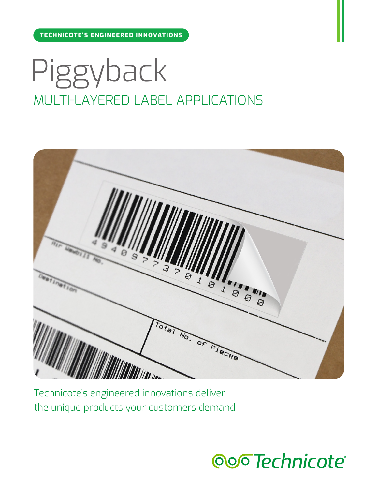**TECHNICOTE'S ENGINEERED INNOVATIONS**

# Piggyback MULTI-LAYERED LABEL APPLICATIONS



Technicote's engineered innovations deliver the unique products your customers demand

ooo Technicote®